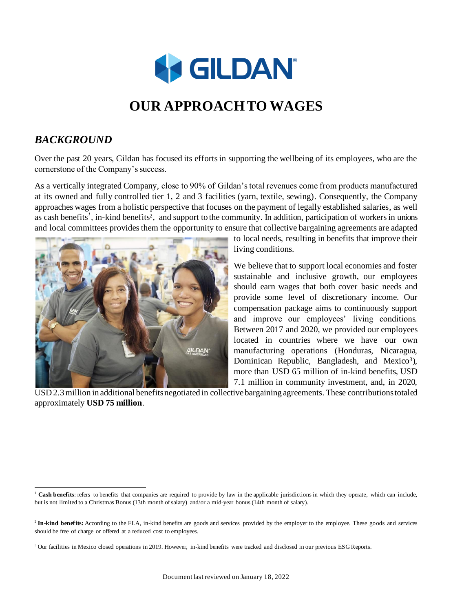

### *BACKGROUND*

Over the past 20 years, Gildan has focused its efforts in supporting the wellbeing of its employees, who are the cornerstone of the Company's success.

As a vertically integrated Company, close to 90% of Gildan's total revenues come from products manufactured at its owned and fully controlled tier 1, 2 and 3 facilities (yarn, textile, sewing). Consequently, the Company approaches wages from a holistic perspective that focuses on the payment of legally established salaries, as well as cash benefits<sup>1</sup>, in-kind benefits<sup>2</sup>, and support to the community. In addition, participation of workers in unions and local committees provides them the opportunity to ensure that collective bargaining agreements are adapted



to local needs, resulting in benefits that improve their living conditions.

We believe that to support local economies and foster sustainable and inclusive growth, our employees should earn wages that both cover basic needs and provide some level of discretionary income. Our compensation package aims to continuously support and improve our employees' living conditions. Between 2017 and 2020, we provided our employees located in countries where we have our own manufacturing operations (Honduras, Nicaragua, Dominican Republic, Bangladesh, and Mexico<sup>3</sup>), more than USD 65 million of in-kind benefits, USD 7.1 million in community investment, and, in 2020,

USD 2.3 million in additional benefits negotiated in collective bargaining agreements. These contributions totaled approximately **USD 75 million**.

<sup>&</sup>lt;sup>1</sup> Cash benefits: refers to benefits that companies are required to provide by law in the applicable jurisdictions in which they operate, which can include, but is not limited to a Christmas Bonus (13th month of salary) and/or a mid-year bonus (14th month of salary).

<sup>&</sup>lt;sup>2</sup> In-kind benefits: According to the FLA, in-kind benefits are goods and services provided by the employer to the employee. These goods and services should be free of charge or offered at a reduced cost to employees.

 $3$  Our facilities in Mexico closed operations in 2019. However, in-kind benefits were tracked and disclosed in our previous ESG Reports.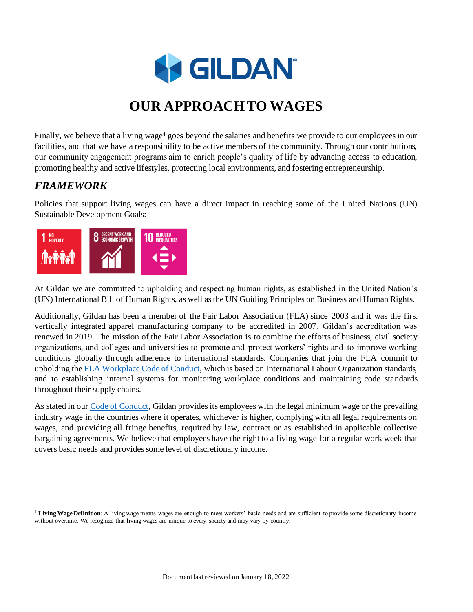

Finally, we believe that a living wage<sup>4</sup> goes beyond the salaries and benefits we provide to our employees in our facilities, and that we have a responsibility to be active members of the community. Through our contributions, our community engagement programs aim to enrich people's quality of life by advancing access to education, promoting healthy and active lifestyles, protecting local environments, and fostering entrepreneurship.

### *FRAMEWORK*

Policies that support living wages can have a direct impact in reaching some of the United Nations (UN) Sustainable Development Goals:



At Gildan we are committed to upholding and respecting human rights, as established in the United Nation's (UN) International Bill of Human Rights, as well as the UN Guiding Principles on Business and Human Rights.

Additionally, Gildan has been a member of the Fair Labor Association (FLA) since 2003 and it was the first vertically integrated apparel manufacturing company to be accredited in 2007. Gildan's accreditation was renewed in 2019. The mission of the Fair Labor Association is to combine the efforts of business, civil society organizations, and colleges and universities to promote and protect workers' rights and to improve working conditions globally through adherence to international standards. Companies that join the FLA commit to upholding th[e FLA Workplace Code of Conduct,](https://www.fairlabor.org/our-work/code-of-conduct) which is based on International Labour Organization standards, and to establishing internal systems for monitoring workplace conditions and maintaining code standards throughout their supply chains.

As stated in our [Code of Conduct,](https://www.genuineresponsibility.com/media/uploads/blocks/Codes/code_of_conduct_poster_en_130818.pdf) Gildan provides its employees with the legal minimum wage or the prevailing industry wage in the countries where it operates, whichever is higher, complying with all legal requirements on wages, and providing all fringe benefits, required by law, contract or as established in applicable collective bargaining agreements. We believe that employees have the right to a living wage for a regular work week that covers basic needs and provides some level of discretionary income.

<sup>4</sup> **Living Wage Definition**: A living wage means wages are enough to meet workers' basic needs and are sufficient to provide some discretionary income without overtime. We recognize that living wages are unique to every society and may vary by country.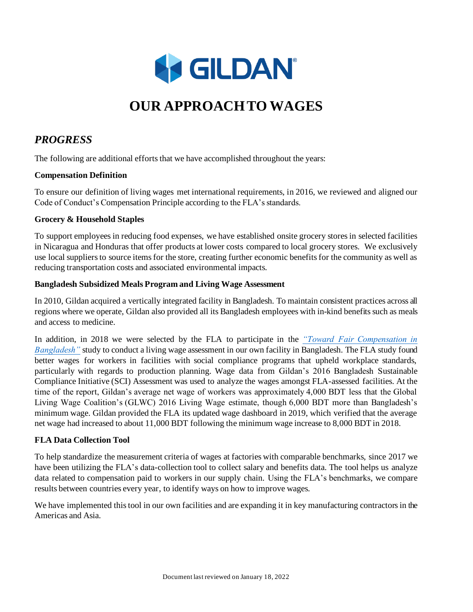

### *PROGRESS*

The following are additional efforts that we have accomplished throughout the years:

#### **Compensation Definition**

To ensure our definition of living wages met international requirements, in 2016, we reviewed and aligned our Code of Conduct's Compensation Principle according to the FLA's standards.

#### **Grocery & Household Staples**

To support employees in reducing food expenses, we have established onsite grocery stores in selected facilities in Nicaragua and Honduras that offer products at lower costs compared to local grocery stores. We exclusively use local suppliers to source items for the store, creating further economic benefits for the community as well as reducing transportation costs and associated environmental impacts.

#### **Bangladesh Subsidized Meals Program and Living Wage Assessment**

In 2010, Gildan acquired a vertically integrated facility in Bangladesh. To maintain consistent practices across all regions where we operate, Gildan also provided all its Bangladesh employees with in-kind benefits such as meals and access to medicine.

In addition, in 2018 we were selected by the FLA to participate in the *["Toward Fair Compensation in](https://www.fairlabor.org/bangladesh-2018)  Bangladesh*" study to conduct a living wage assessment in our own facility in Bangladesh. The FLA study found better wages for workers in facilities with social compliance programs that upheld workplace standards, particularly with regards to production planning. Wage data from Gildan's 2016 Bangladesh Sustainable Compliance Initiative (SCI) Assessment was used to analyze the wages amongst FLA-assessed facilities. At the time of the report, Gildan's average net wage of workers was approximately 4,000 BDT less that the Global Living Wage Coalition's (GLWC) 2016 Living Wage estimate, though 6,000 BDT more than Bangladesh's minimum wage. Gildan provided the FLA its updated wage dashboard in 2019, which verified that the average net wage had increased to about 11,000 BDT following the minimum wage increase to 8,000 BDT in 2018.

#### **FLA Data Collection Tool**

To help standardize the measurement criteria of wages at factories with comparable benchmarks, since 2017 we have been utilizing the FLA's data-collection tool to collect salary and benefits data. The tool helps us analyze data related to compensation paid to workers in our supply chain. Using the FLA's benchmarks, we compare results between countries every year, to identify ways on how to improve wages.

We have implemented this tool in our own facilities and are expanding it in key manufacturing contractors in the Americas and Asia.